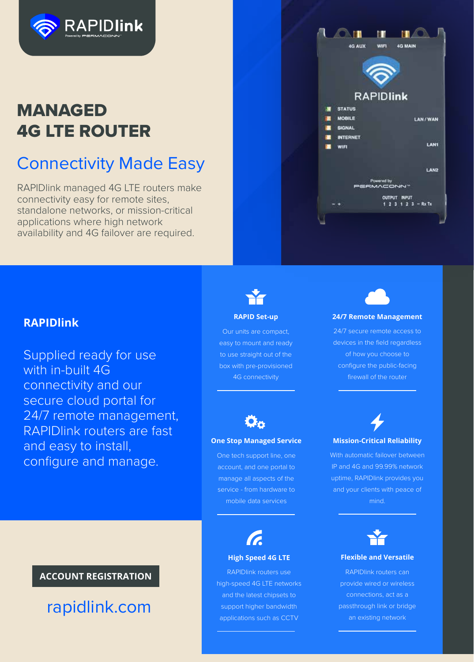

# MANAGED 4G LTE ROUTER

# Connectivity Made Easy

RAPIDlink managed 4G LTE routers make connectivity easy for remote sites, standalone networks, or mission-critical applications where high network availability and 4G failover are required.



### **RAPIDlink**

Supplied ready for use with in-built 4G connectivity and our secure cloud portal for 24/7 remote management, RAPIDlink routers are fast and easy to install, configure and manage.



#### **RAPID Set-up**

Our units are compact, easy to mount and ready to use straight out of the box with pre-provisioned 4G connectivity



#### **24/7 Remote Management**

24/7 secure remote access to devices in the field regardless of how you choose to configure the public-facing firewall of the router



#### **One Stop Managed Service**

One tech support line, one account, and one portal to manage all aspects of the service - from hardware to mobile data services

**High Speed 4G LTE**

RAPIDlink routers use high-speed 4G LTE networks and the latest chipsets to support higher bandwidth applications such as CCTV



With automatic failover between IP and 4G and 99.99% network uptime, RAPIDlink provides you and your clients with peace of mind.



#### **Flexible and Versatile**

RAPIDlink routers can provide wired or wireless connections, act as a passthrough link or bridge an existing network

### **ACCOUNT REGISTRATION**

rapidlink.com